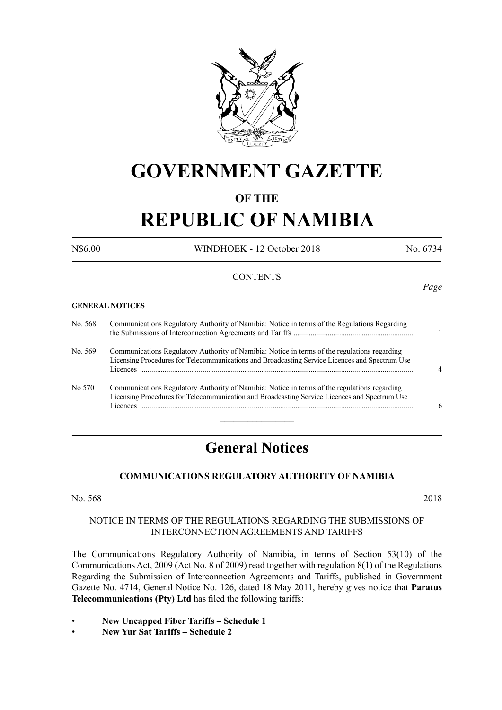

# **GOVERNMENT GAZETTE**

# **OF THE**

# **REPUBLIC OF NAMIBIA**

N\$6.00 WINDHOEK - 12 October 2018 No. 6734

*Page*

# **CONTENTS**

#### **GENERAL NOTICES**

| No. 568 | Communications Regulatory Authority of Namibia: Notice in terms of the Regulations Regarding                                                                                                   |  |
|---------|------------------------------------------------------------------------------------------------------------------------------------------------------------------------------------------------|--|
| No. 569 | Communications Regulatory Authority of Namibia: Notice in terms of the regulations regarding<br>Licensing Procedures for Telecommunications and Broadcasting Service Licences and Spectrum Use |  |
| No 570  | Communications Regulatory Authority of Namibia: Notice in terms of the regulations regarding<br>Licensing Procedures for Telecommunication and Broadcasting Service Licences and Spectrum Use  |  |

# **General Notices**

# **COMMUNICATIONS REGULATORY AUTHORITY OF NAMIBIA**

No. 568 2018

#### NOTICE IN TERMS OF THE REGULATIONS REGARDING THE SUBMISSIONS OF INTERCONNECTION AGREEMENTS AND TARIFFS

The Communications Regulatory Authority of Namibia, in terms of Section 53(10) of the Communications Act, 2009 (Act No. 8 of 2009) read together with regulation 8(1) of the Regulations Regarding the Submission of Interconnection Agreements and Tariffs, published in Government Gazette No. 4714, General Notice No. 126, dated 18 May 2011, hereby gives notice that **Paratus Telecommunications (Pty) Ltd** has filed the following tariffs:

- **New Uncapped Fiber Tariffs Schedule 1**
- **New Yur Sat Tariffs Schedule 2**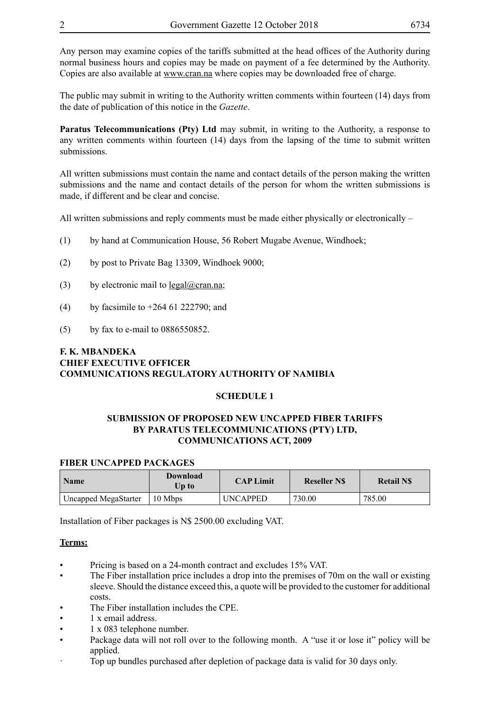Any person may examine copies of the tariffs submitted at the head offices of the Authority during normal business hours and copies may be made on payment of a fee determined by the Authority. Copies are also available at www.cran.na where copies may be downloaded free of charge.

The public may submit in writing to the Authority written comments within fourteen (14) days from the date of publication of this notice in the *Gazette*.

**Paratus Telecommunications (Pty) Ltd** may submit, in writing to the Authority, a response to any written comments within fourteen (14) days from the lapsing of the time to submit written submissions.

All written submissions must contain the name and contact details of the person making the written submissions and the name and contact details of the person for whom the written submissions is made, if different and be clear and concise.

All written submissions and reply comments must be made either physically or electronically  $-$ 

- (1) by hand at Communication House, 56 Robert Mugabe Avenue, Windhoek;
- (2) by post to Private Bag 13309, Windhoek 9000;
- (3) by electronic mail to  $\text{legal}(\omega)$ cran.na;
- (4) by facsimile to +264 61 222790; and
- (5) by fax to e-mail to 0886550852.

# **F. K. MBANDEKA CHIEF EXECUTIVE OFFICER COMMUNICATIONS REGULATORY AUTHORITY OF NAMIBIA**

#### **SCHEDULE 1**

#### **SUBMISSION OF PROPOSED NEW UNCAPPED FIBER TARIFFS BY PARATUS TELECOMMUNICATIONS (PTY) LTD, COMMUNICATIONS ACT, 2009**

#### **FIBER UNCAPPED PACKAGES**

| <b>Name</b>          | Download<br>Up to | <b>CAP Limit</b> | <b>Reseller NS</b> | <b>Retail NS</b> |
|----------------------|-------------------|------------------|--------------------|------------------|
| Uncapped MegaStarter | 10 Mbps           | UNCAPPED         | 730.00             | 785.00           |

Installation of Fiber packages is N\$ 2500.00 excluding VAT.

#### **Terms:**

- Pricing is based on a 24-month contract and excludes 15% VAT.
- The Fiber installation price includes a drop into the premises of 70m on the wall or existing sleeve. Should the distance exceed this, a quote will be provided to the customer for additional costs.
- The Fiber installation includes the CPE.
- 1 x email address.
- 1 x 083 telephone number.
- Package data will not roll over to the following month. A "use it or lose it" policy will be applied.
- · Top up bundles purchased after depletion of package data is valid for 30 days only.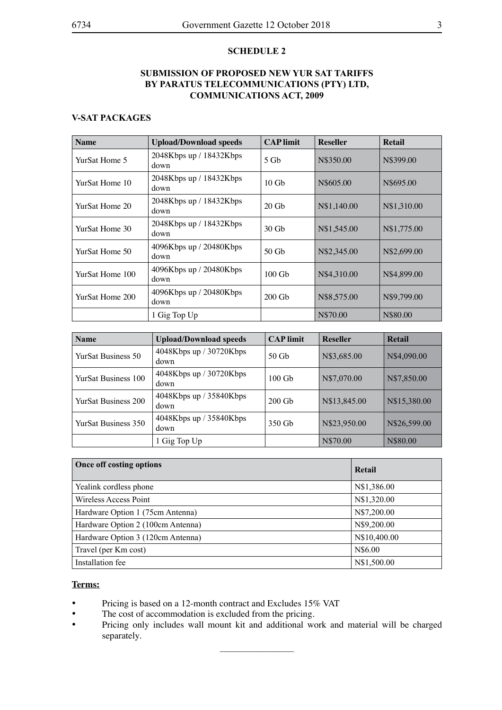# **SCHEDULE 2**

# **SUBMISSION OF PROPOSED NEW YUR SAT TARIFFS BY PARATUS TELECOMMUNICATIONS (PTY) LTD, COMMUNICATIONS ACT, 2009**

# **V-SAT PACKAGES**

| <b>Name</b>     | <b>Upload/Download speeds</b>     | <b>CAP</b> limit | <b>Reseller</b> | Retail      |
|-----------------|-----------------------------------|------------------|-----------------|-------------|
| YurSat Home 5   | 2048Kbps up / 18432Kbps<br>down   | $5$ Gb           | N\$350.00       | N\$399.00   |
| YurSat Home 10  | $2048Kbps$ up / 18432Kbps<br>down | $10$ Gb          | N\$605.00       | N\$695.00   |
| YurSat Home 20  | 2048Kbps up / 18432Kbps<br>down   | $20$ Gb          | N\$1,140.00     | N\$1,310.00 |
| YurSat Home 30  | $2048Kbps$ up / 18432Kbps<br>down | $30$ Gb          | N\$1,545.00     | N\$1,775.00 |
| YurSat Home 50  | 4096Kbps up / 20480Kbps<br>down   | 50 Gb            | N\$2,345.00     | N\$2,699.00 |
| YurSat Home 100 | 4096Kbps up / 20480Kbps<br>down   | $100$ Gb         | N\$4,310.00     | N\$4,899.00 |
| YurSat Home 200 | 4096Kbps up / 20480Kbps<br>down   | $200$ Gb         | N\$8,575.00     | N\$9,799.00 |
|                 | 1 Gig Top Up                      |                  | N\$70.00        | N\$80.00    |

| <b>Name</b>                | <b>Upload/Download speeds</b>      | <b>CAP</b> limit | <b>Reseller</b> | Retail       |
|----------------------------|------------------------------------|------------------|-----------------|--------------|
| <b>YurSat Business 50</b>  | 4048Kbps up / 30720Kbps<br>down    | $50$ Gb          | N\$3,685.00     | N\$4,090.00  |
| <b>YurSat Business 100</b> | 4048Kbps up / 30720Kbps<br>down    | $100$ Gb         | N\$7,070.00     | N\$7,850.00  |
| <b>YurSat Business 200</b> | $4048$ Kbps up / 35840Kbps<br>down | $200$ Gb         | N\$13,845.00    | N\$15,380.00 |
| YurSat Business 350        | 4048Kbps up / 35840Kbps<br>down    | 350 Gb           | N\$23,950.00    | N\$26,599.00 |
|                            | 1 Gig Top Up                       |                  | N\$70.00        | N\$80.00     |

| Once off costing options          | Retail       |  |
|-----------------------------------|--------------|--|
| Yealink cordless phone            | N\$1,386.00  |  |
| Wireless Access Point             | N\$1,320.00  |  |
| Hardware Option 1 (75cm Antenna)  | N\$7,200.00  |  |
| Hardware Option 2 (100cm Antenna) | N\$9,200.00  |  |
| Hardware Option 3 (120cm Antenna) | N\$10,400.00 |  |
| Travel (per Km cost)              | N\$6.00      |  |
| Installation fee                  | N\$1,500.00  |  |

#### **Terms:**

- Pricing is based on a 12-month contract and Excludes 15% VAT<br>• The cost of accommodation is excluded from the pricing.
- The cost of accommodation is excluded from the pricing.<br>• Pricing only includes wall mount kit and additional wo
- Pricing only includes wall mount kit and additional work and material will be charged separately.

 $\frac{1}{2}$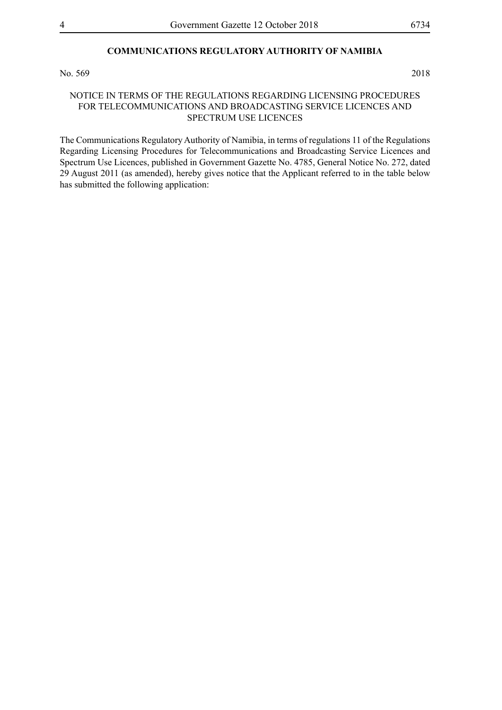# **COMMUNICATIONS REGULATORY AUTHORITY OF NAMIBIA**

No. 569 2018

#### NOTICE IN TERMS OF THE REGULATIONS REGARDING LICENSING PROCEDURES FOR TELECOMMUNICATIONS AND BROADCASTING SERVICE LICENCES AND SPECTRUM USE LICENCES

The Communications Regulatory Authority of Namibia, in terms of regulations 11 of the Regulations Regarding Licensing Procedures for Telecommunications and Broadcasting Service Licences and Spectrum Use Licences, published in Government Gazette No. 4785, General Notice No. 272, dated 29 August 2011 (as amended), hereby gives notice that the Applicant referred to in the table below has submitted the following application: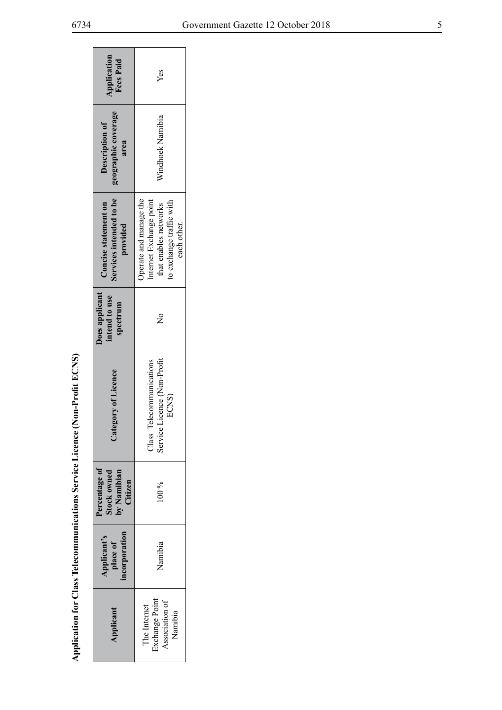| Application<br><b>Fees Paid</b>                             | Yes                                                                                                                   |  |
|-------------------------------------------------------------|-----------------------------------------------------------------------------------------------------------------------|--|
| geographic coverage<br>Description of<br>area               | Windhoek Namibia                                                                                                      |  |
| Services intended to be<br>Concise statement on<br>provided | Operate and manage the<br>internet Exchange point<br>to exchange traffic with<br>that enables networks<br>each other. |  |
| Does applicant<br>intend to use<br>spectrum                 | $\frac{1}{2}$                                                                                                         |  |
| Category of Licence                                         | Class Telecommunications<br>Service Licence (Non-Profit<br>ECNS)                                                      |  |
| Percentage of<br>Stock owned<br>by Namibian<br>Citizen      | 100 %                                                                                                                 |  |
| Applicant's<br>place of<br>ncorporation                     | Namibia                                                                                                               |  |
| Applicant                                                   | The Internet<br>Exchange Point<br>Association of<br>Namibia                                                           |  |

Application for Class Telecommunications Service Licence (Non-Profit ECNS) **Application for Class Telecommunications Service Licence (Non-Profit ECNS)**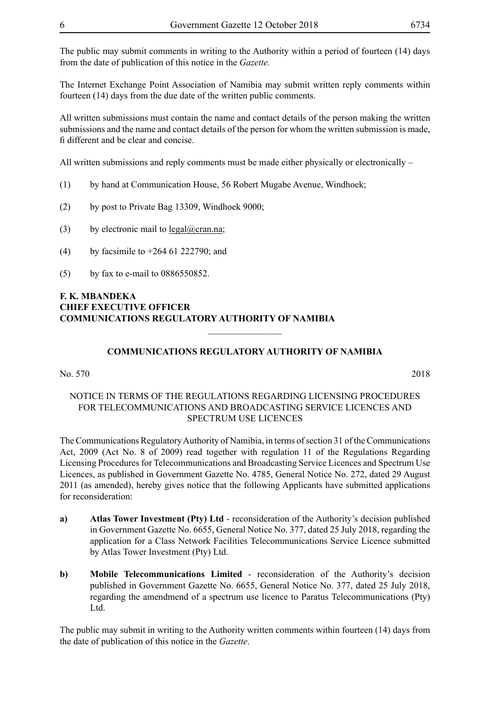The Internet Exchange Point Association of Namibia may submit written reply comments within fourteen (14) days from the due date of the written public comments.

All written submissions must contain the name and contact details of the person making the written submissions and the name and contact details of the person for whom the written submission is made, fi different and be clear and concise.

All written submissions and reply comments must be made either physically or electronically –

- (1) by hand at Communication House, 56 Robert Mugabe Avenue, Windhoek;
- (2) by post to Private Bag 13309, Windhoek 9000;
- (3) by electronic mail to  $\text{legal}(\partial \text{cran}.\text{na})$ ;
- (4) by facsimile to +264 61 222790; and
- (5) by fax to e-mail to 0886550852.

#### **F. K. MBANDEKA CHIEF EXECUTIVE OFFICER COMMUNICATIONS REGULATORY AUTHORITY OF NAMIBIA**

# **COMMUNICATIONS REGULATORY AUTHORITY OF NAMIBIA**

 $\frac{1}{2}$ 

No. 570 2018

#### NOTICE IN TERMS OF THE REGULATIONS REGARDING LICENSING PROCEDURES FOR TELECOMMUNICATIONS AND BROADCASTING SERVICE LICENCES AND SPECTRUM USE LICENCES

The Communications Regulatory Authority of Namibia, in terms of section 31 of the Communications Act, 2009 (Act No. 8 of 2009) read together with regulation 11 of the Regulations Regarding Licensing Procedures for Telecommunications and Broadcasting Service Licences and Spectrum Use Licences, as published in Government Gazette No. 4785, General Notice No. 272, dated 29 August 2011 (as amended), hereby gives notice that the following Applicants have submitted applications for reconsideration:

- **a) Atlas Tower Investment (Pty) Ltd** reconsideration of the Authority's decision published in Government Gazette No. 6655, General Notice No. 377, dated 25 July 2018, regarding the application for a Class Network Facilities Telecommunications Service Licence submitted by Atlas Tower Investment (Pty) Ltd.
- **b) Mobile Telecommunications Limited** reconsideration of the Authority's decision published in Government Gazette No. 6655, General Notice No. 377, dated 25 July 2018, regarding the amendmend of a spectrum use licence to Paratus Telecommunications (Pty) Ltd.

The public may submit in writing to the Authority written comments within fourteen (14) days from the date of publication of this notice in the *Gazette*.